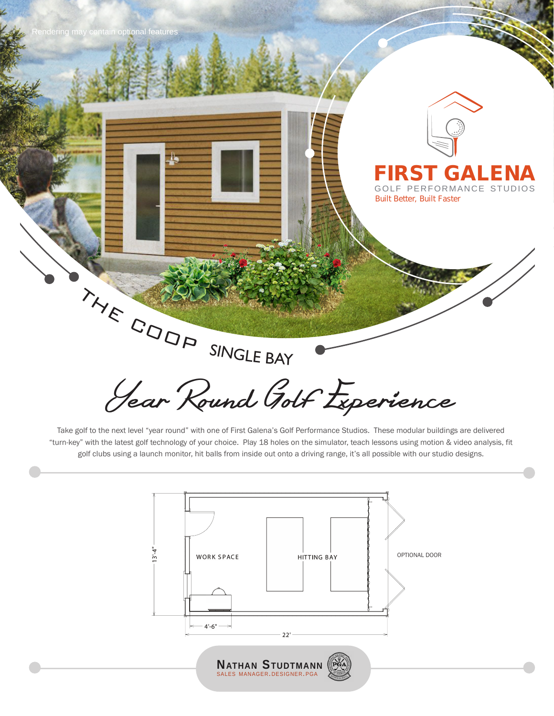



### **FIRST GALENA** GOLF PERFORMANCE STUDIOS

*Built Better, Built Faster*

Year Round Golf Experience THE COOP SINGLE BAY

Take golf to the next level "year round" with one of First Galena's Golf Performance Studios. These modular buildings are delivered "turn-key" with the latest golf technology of your choice. Play 18 holes on the simulator, teach lessons using motion & video analysis, fit golf clubs using a launch monitor, hit balls from inside out onto a driving range, it's all possible with our studio designs.